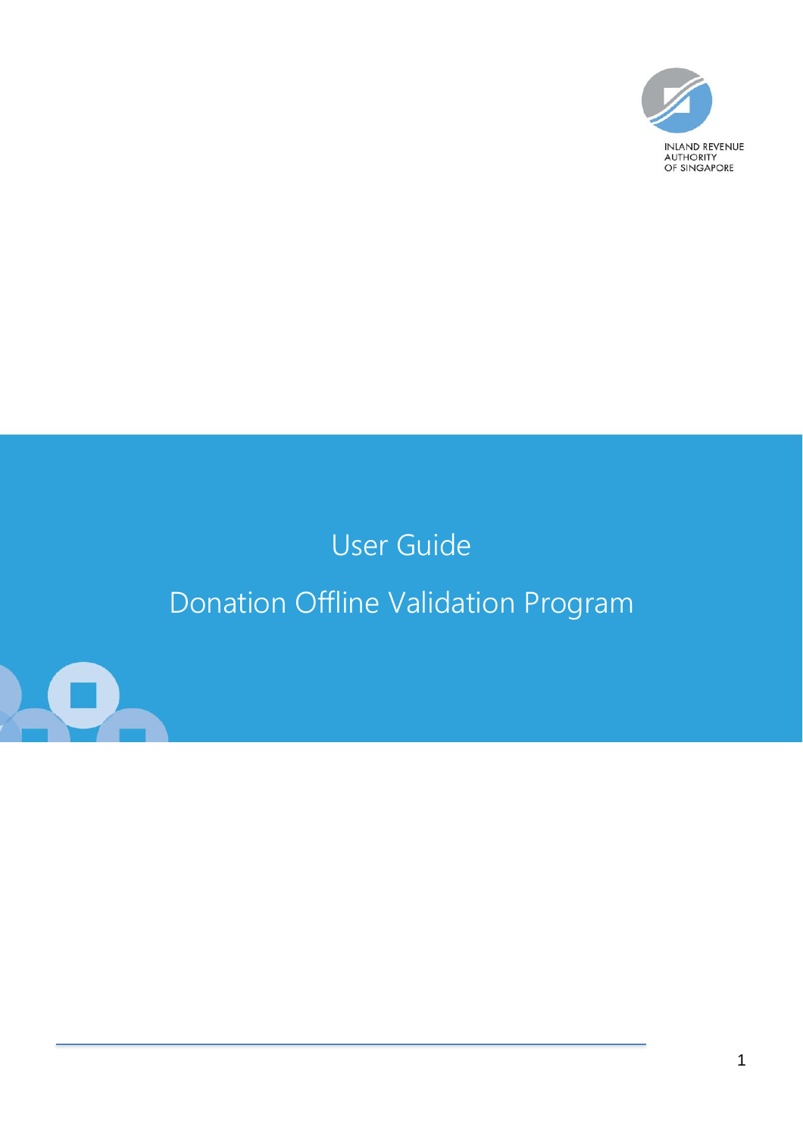

# User Guide Donation Offline Validation Program

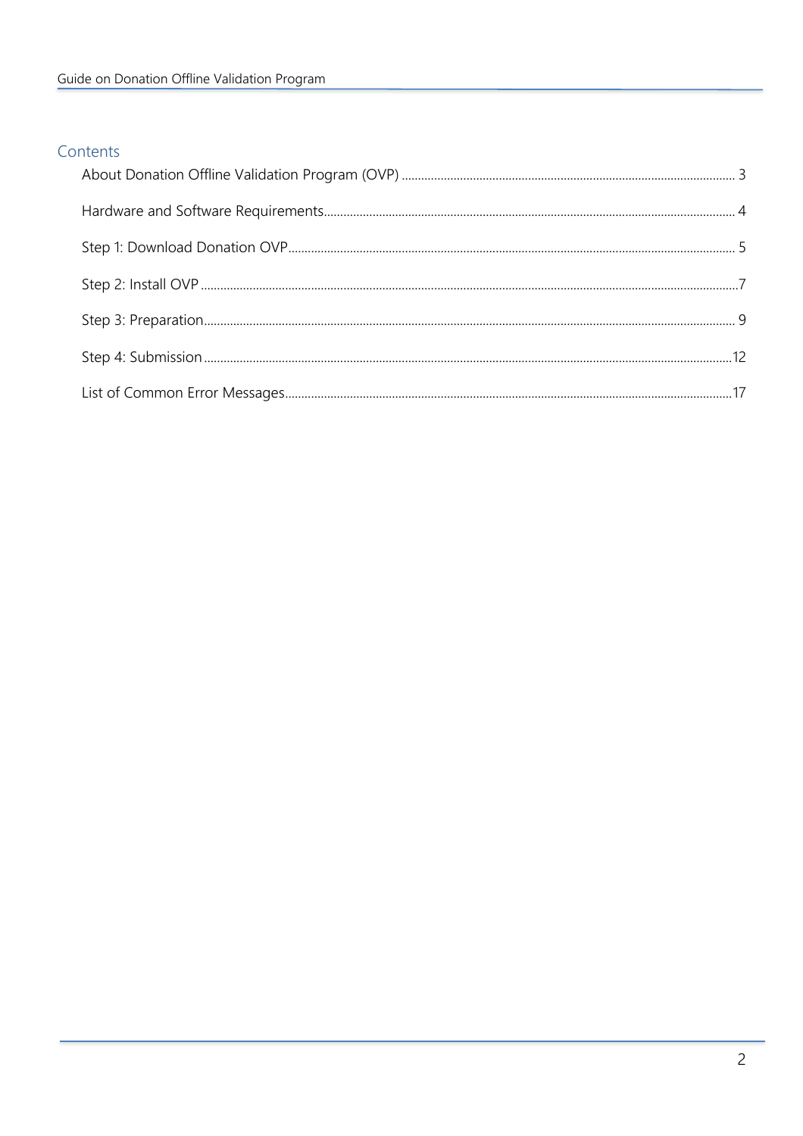### Contents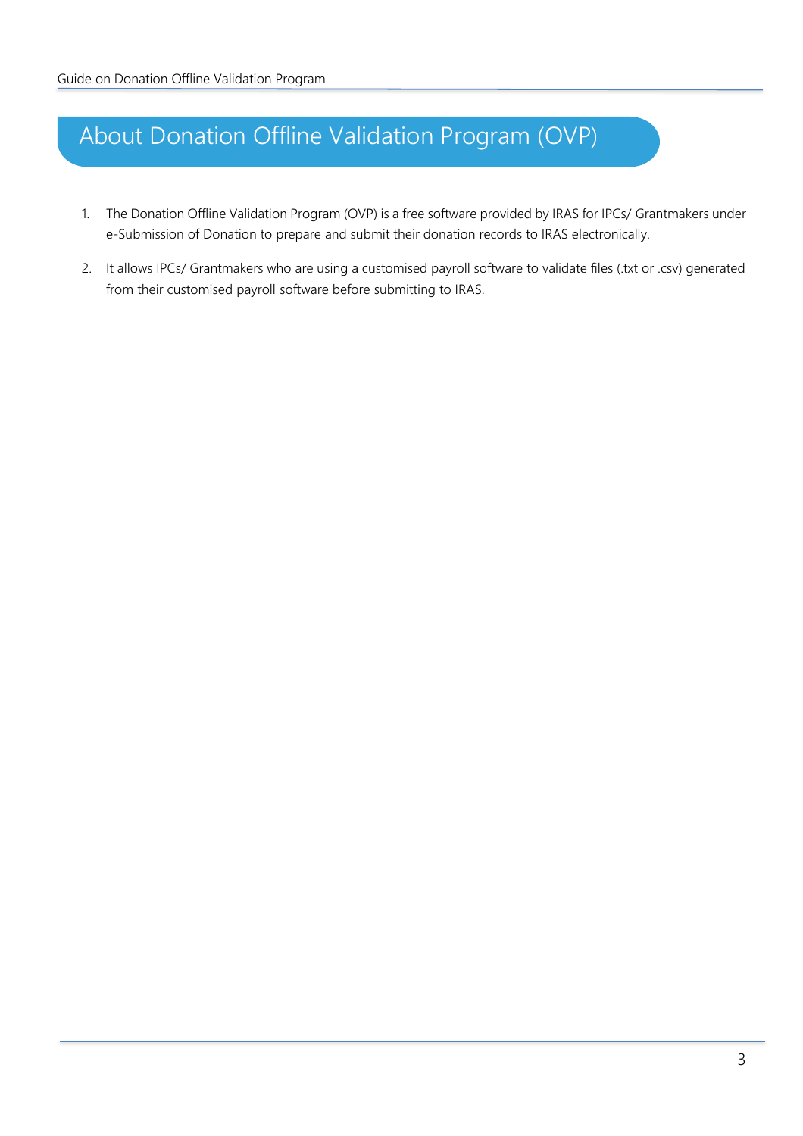## <span id="page-2-0"></span>About Donation Offline Validation Program (OVP)

- 1. The Donation Offline Validation Program (OVP) is a free software provided by IRAS for IPCs/ Grantmakers under e-Submission of Donation to prepare and submit their donation records to IRAS electronically.
- 2. It allows IPCs/ Grantmakers who are using a customised payroll software to validate files (.txt or .csv) generated from their customised payroll software before submitting to IRAS.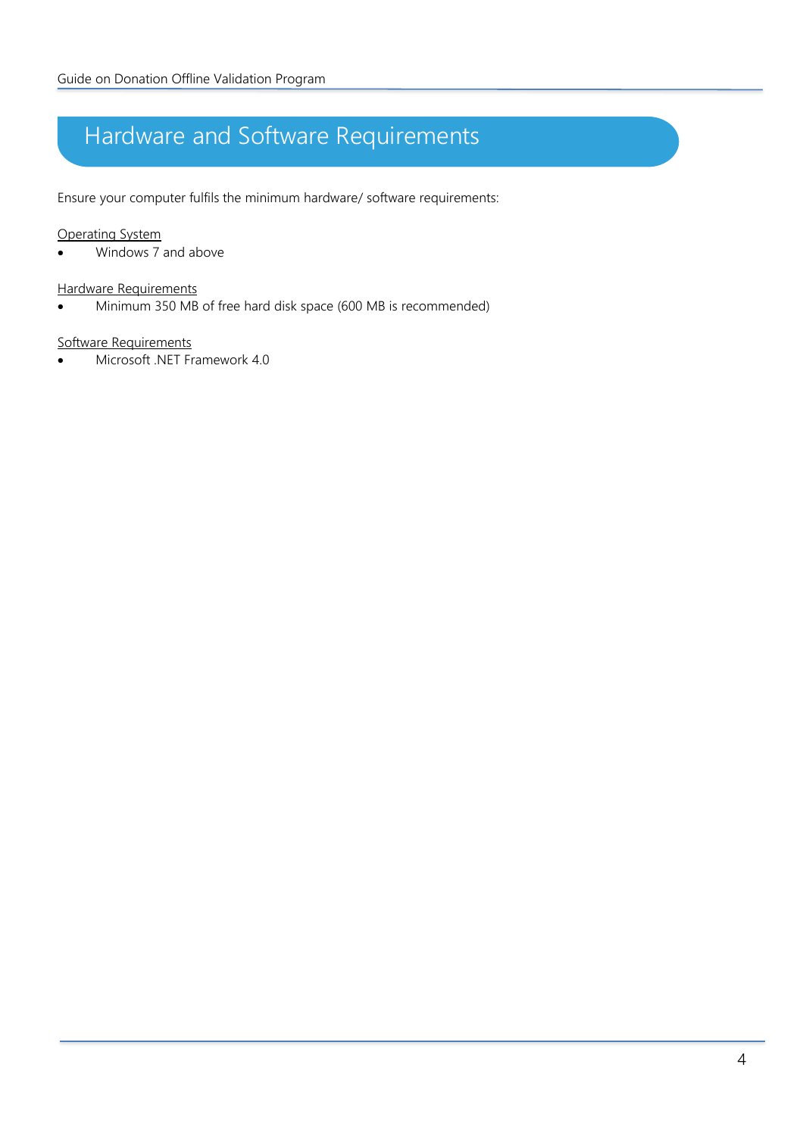# <span id="page-3-0"></span>Hardware and Software Requirements

Ensure your computer fulfils the minimum hardware/ software requirements:

#### Operating System

• Windows 7 and above

#### Hardware Requirements

• Minimum 350 MB of free hard disk space (600 MB is recommended)

#### Software Requirements

• Microsoft .NET Framework 4.0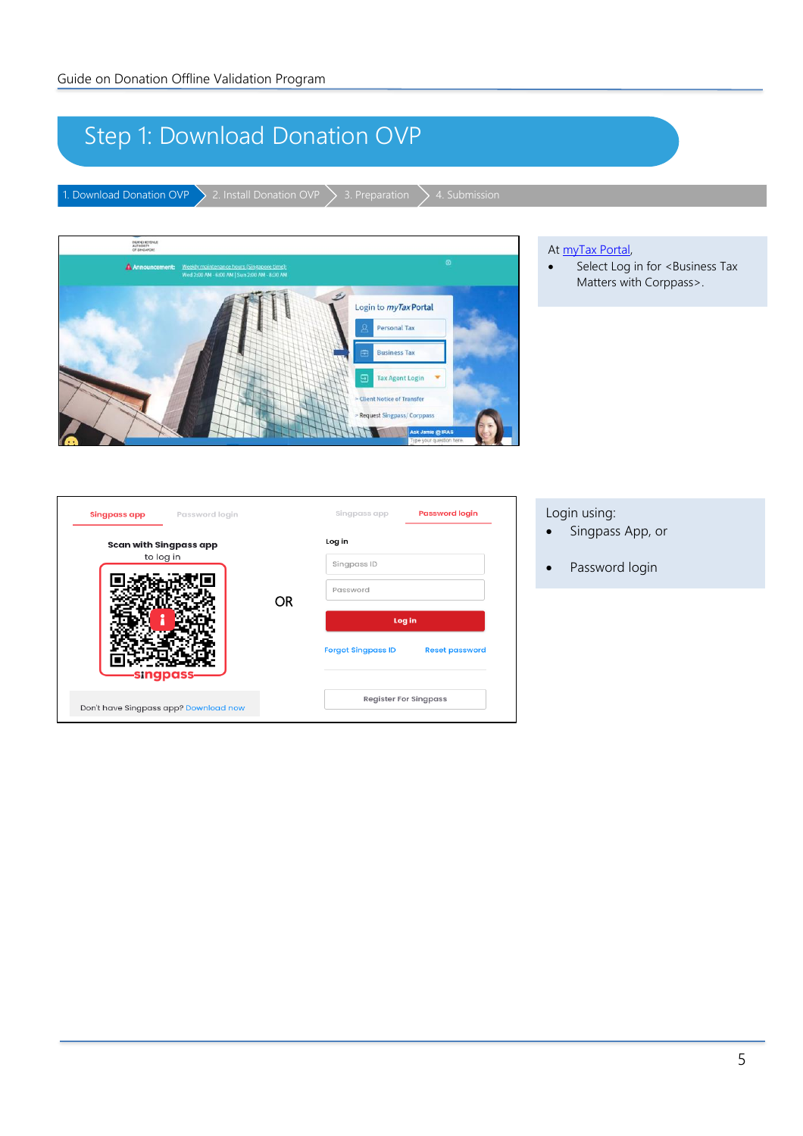# <span id="page-4-0"></span>Step 1: Download Donation OVP

1. Download Donation OVP  $\searrow$  2. Install Donation OVP  $\searrow$  3. Preparation  $\searrow$  4. Submission



#### At [myTax Portal,](https://mytax.iras.gov.sg/ESVWeb/default.aspx)

• Select Log in for <Business Tax Matters with Corppass>.

| <b>Singpass app</b> Password login                       |     | Singpass app                 | <b>Password login</b> |
|----------------------------------------------------------|-----|------------------------------|-----------------------|
| Scan with Singpass app                                   |     | Log in                       |                       |
| to log in                                                |     | Singpass ID                  |                       |
|                                                          |     | Password                     |                       |
|                                                          | OR. | Log in                       |                       |
|                                                          |     | <b>Forgot Singpass ID</b>    | <b>Reset password</b> |
| <b>singpass</b><br>Don't have Singpass app? Download now |     | <b>Register For Singpass</b> |                       |

### Login using:

- Singpass App, or
- Password login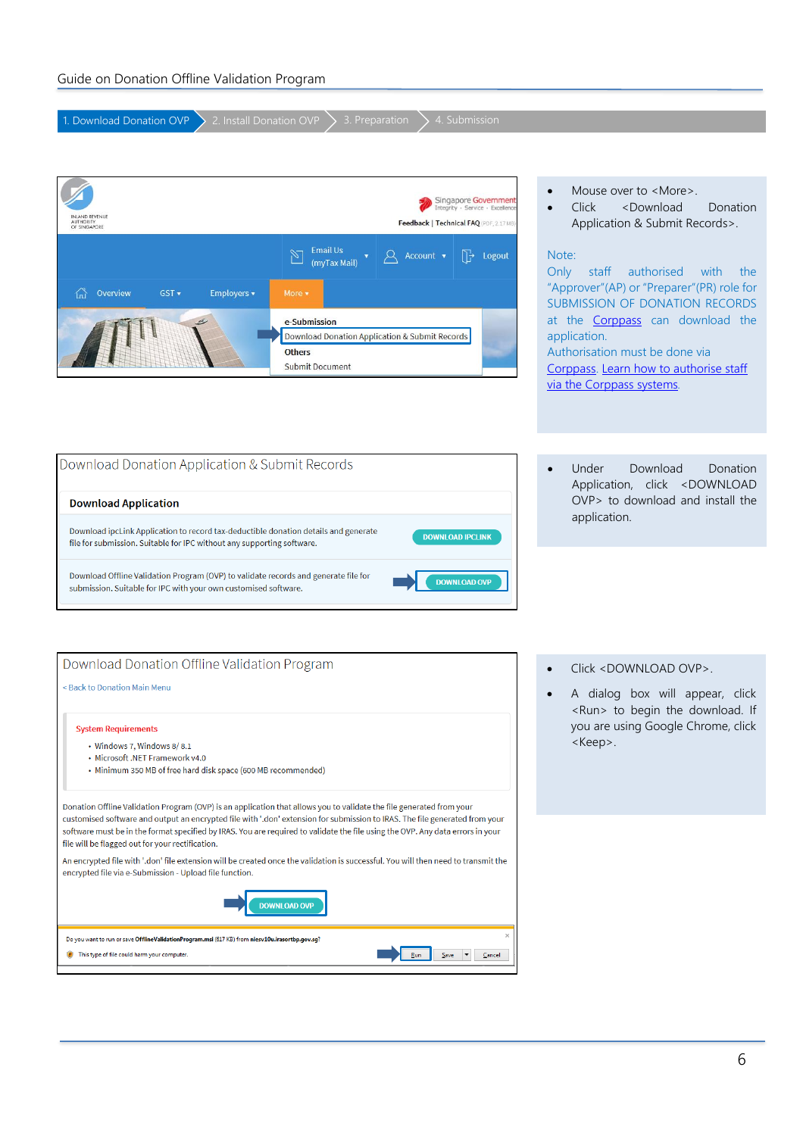| 1. Download Donation OVP<br>2. Install Donation OVP<br>4. Submission<br>3. Preparation                                                                                                                                                                                                                                                                                                |                                                                                                                                                                                                                                                                                                        |
|---------------------------------------------------------------------------------------------------------------------------------------------------------------------------------------------------------------------------------------------------------------------------------------------------------------------------------------------------------------------------------------|--------------------------------------------------------------------------------------------------------------------------------------------------------------------------------------------------------------------------------------------------------------------------------------------------------|
|                                                                                                                                                                                                                                                                                                                                                                                       |                                                                                                                                                                                                                                                                                                        |
| Singapore Government<br>Integrity · Service · Excellence<br><b>JLAND REVENU</b><br><b>AUTHORITY</b><br>Feedback   Technical FAQ (PDF, 2.17 MB)<br>OF SINGAPORE                                                                                                                                                                                                                        | Mouse over to <more>.<br/>Click<br/><download<br>Donation<br/>Application &amp; Submit Records&gt;.</download<br></more>                                                                                                                                                                               |
| <b>Email Us</b><br>η⊹<br>Account v<br>Logout<br>(myTax Mail)<br>Overview<br>GST v<br>Employers v<br>More v<br>íпì<br>e-Submission<br>Download Donation Application & Submit Records<br><b>Others</b><br><b>Submit Document</b>                                                                                                                                                        | Note:<br>Only<br>staff<br>authorised<br>with<br>the<br>"Approver"(AP) or "Preparer"(PR) role for<br>SUBMISSION OF DONATION RECORDS<br>at the <b>Corppass</b> can download the<br>application.<br>Authorisation must be done via<br>Corppass. Learn how to authorise staff<br>via the Corppass systems. |
| Download Donation Application & Submit Records<br><b>Download Application</b><br>Download ipcLink Application to record tax-deductible donation details and generate<br><b>DOWNLOAD IPCLINK</b><br>file for submission. Suitable for IPC without any supporting software.                                                                                                             | Download<br>Under<br>Donation<br>$\bullet$<br>Application, click <download<br>OVP&gt; to download and install the<br/>application.</download<br>                                                                                                                                                       |
| Download Offline Validation Program (OVP) to validate records and generate file for<br><b>DOWNLOAD OVP</b><br>submission. Suitable for IPC with your own customised software.                                                                                                                                                                                                         |                                                                                                                                                                                                                                                                                                        |
| Download Donation Offline Validation Program                                                                                                                                                                                                                                                                                                                                          | Click <download ovp="">.</download>                                                                                                                                                                                                                                                                    |
| < Back to Donation Main Menu                                                                                                                                                                                                                                                                                                                                                          | A dialog box will appear, click                                                                                                                                                                                                                                                                        |
| <b>System Requirements</b><br>• Windows 7, Windows 8/8.1<br>• Microsoft .NET Framework v4.0<br>• Minimum 350 MB of free hard disk space (600 MB recommended)                                                                                                                                                                                                                          | <run> to begin the download. If<br/>you are using Google Chrome, click<br/><keep>.</keep></run>                                                                                                                                                                                                        |
| Donation Offline Validation Program (OVP) is an application that allows you to validate the file generated from your<br>customised software and output an encrypted file with '.don' extension for submission to IRAS. The file generated from your<br>software must be in the format specified by IRAS. You are required to validate the file using the OVP. Any data errors in your |                                                                                                                                                                                                                                                                                                        |
| file will be flagged out for your rectification.<br>An encrypted file with '.don' file extension will be created once the validation is successful. You will then need to transmit the<br>encrypted file via e-Submission - Upload file function.                                                                                                                                     |                                                                                                                                                                                                                                                                                                        |
| <b>DOWNLOAD OVP</b>                                                                                                                                                                                                                                                                                                                                                                   |                                                                                                                                                                                                                                                                                                        |
| ×<br>Do you want to run or save OfflineValidationProgram.msi (617 KB) from niesv10u.irasortbp.gov.sg?<br>This type of file could harm your computer.<br>Save<br>Cancel                                                                                                                                                                                                                |                                                                                                                                                                                                                                                                                                        |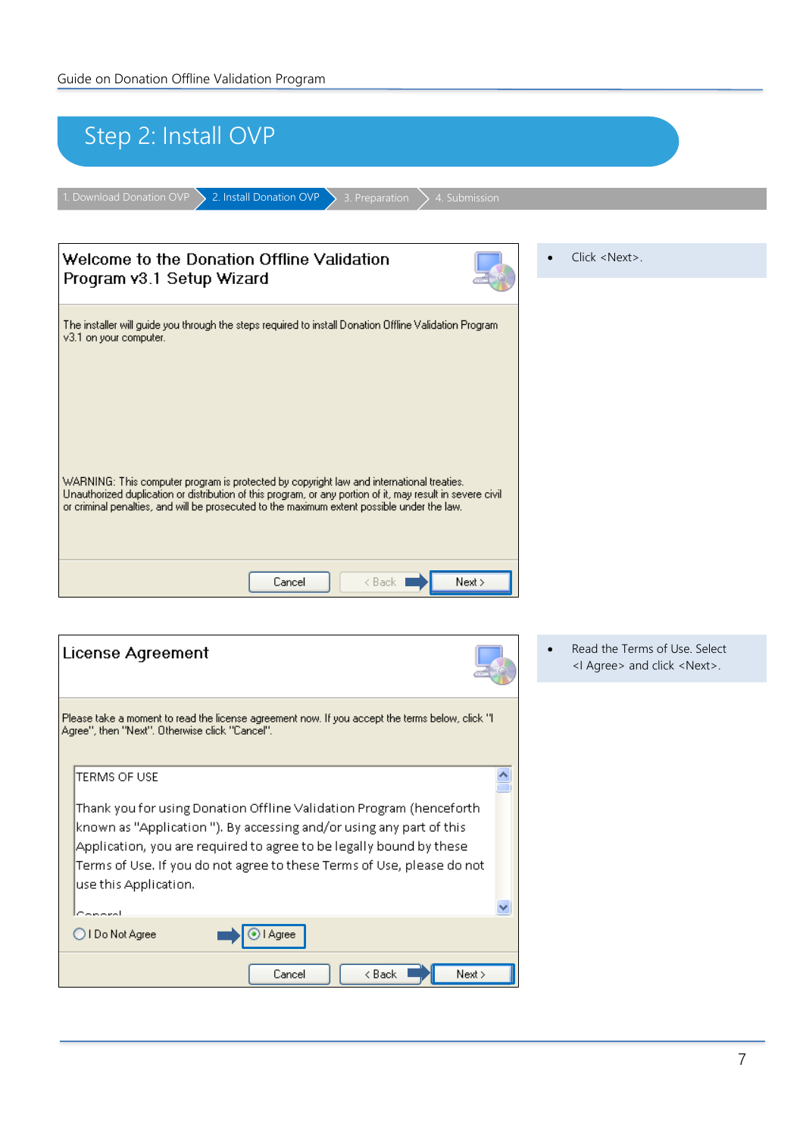<span id="page-6-0"></span>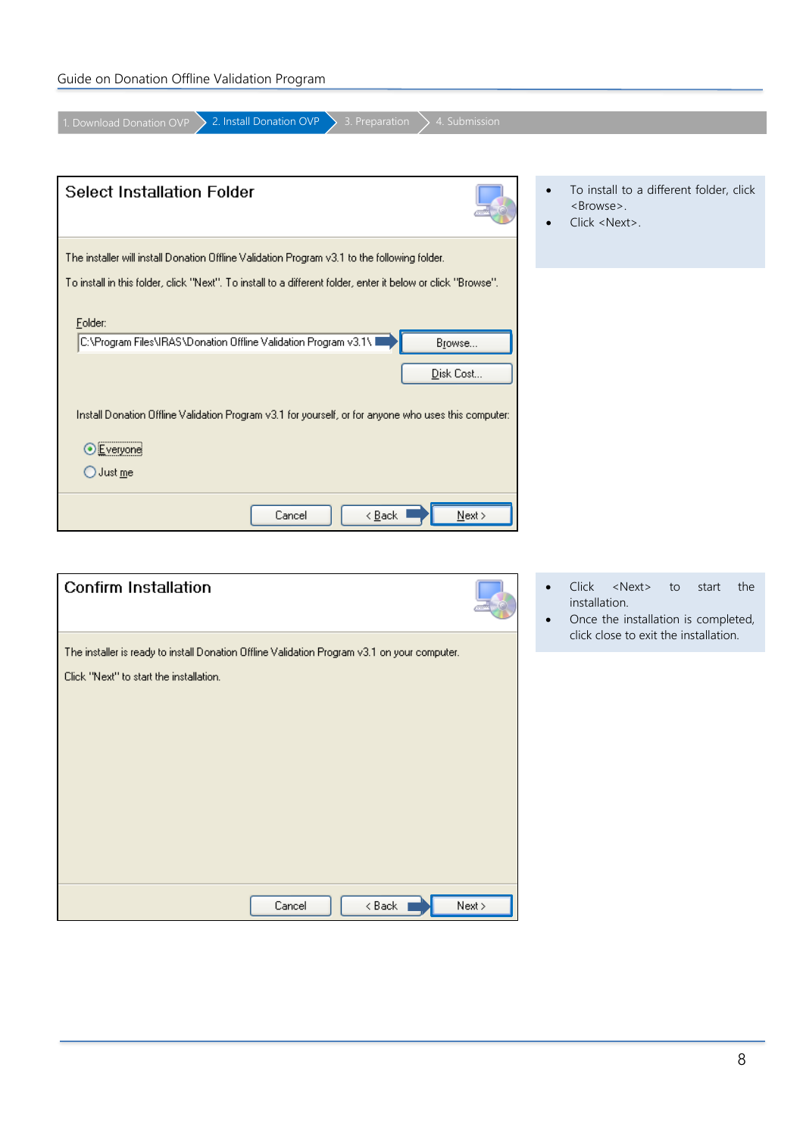| Guide on Donation Offline Validation Program |  |  |
|----------------------------------------------|--|--|
|----------------------------------------------|--|--|

| 2. Install Donation OVP<br>3. Preparation<br>4. Submission<br>1. Download Donation OVP                                                                                                                              |                                                      |
|---------------------------------------------------------------------------------------------------------------------------------------------------------------------------------------------------------------------|------------------------------------------------------|
| <b>Select Installation Folder</b>                                                                                                                                                                                   | To install to a different folder, click<br>$\bullet$ |
|                                                                                                                                                                                                                     | <browse>.<br/>Click <next>.</next></browse>          |
| The installer will install Donation Offline Validation Program v3.1 to the following folder.                                                                                                                        |                                                      |
| To install in this folder, click "Next". To install to a different folder, enter it below or click "Browse",<br>Folder:<br>C:\Program Files\IRAS\Donation Offline Validation Program v3.1\ I<br>Browse<br>Disk Cost |                                                      |
| Install Donation Offline Validation Program v3.1 for yourself, or for anyone who uses this computer:<br>Everyone                                                                                                    |                                                      |
| $\bigcirc$ Just me                                                                                                                                                                                                  |                                                      |
| < <u>B</u> ack<br>Next ><br>Cancel                                                                                                                                                                                  |                                                      |

| <b>Confirm Installation</b>                                                                                                             |        |
|-----------------------------------------------------------------------------------------------------------------------------------------|--------|
| The installer is ready to install Donation Offline Validation Program v3.1 on your computer.<br>Click "Next" to start the installation. |        |
| < Back<br>Cancel                                                                                                                        | Next > |

- Click <Next> to start the installation.
- Once the installation is completed, click close to exit the installation.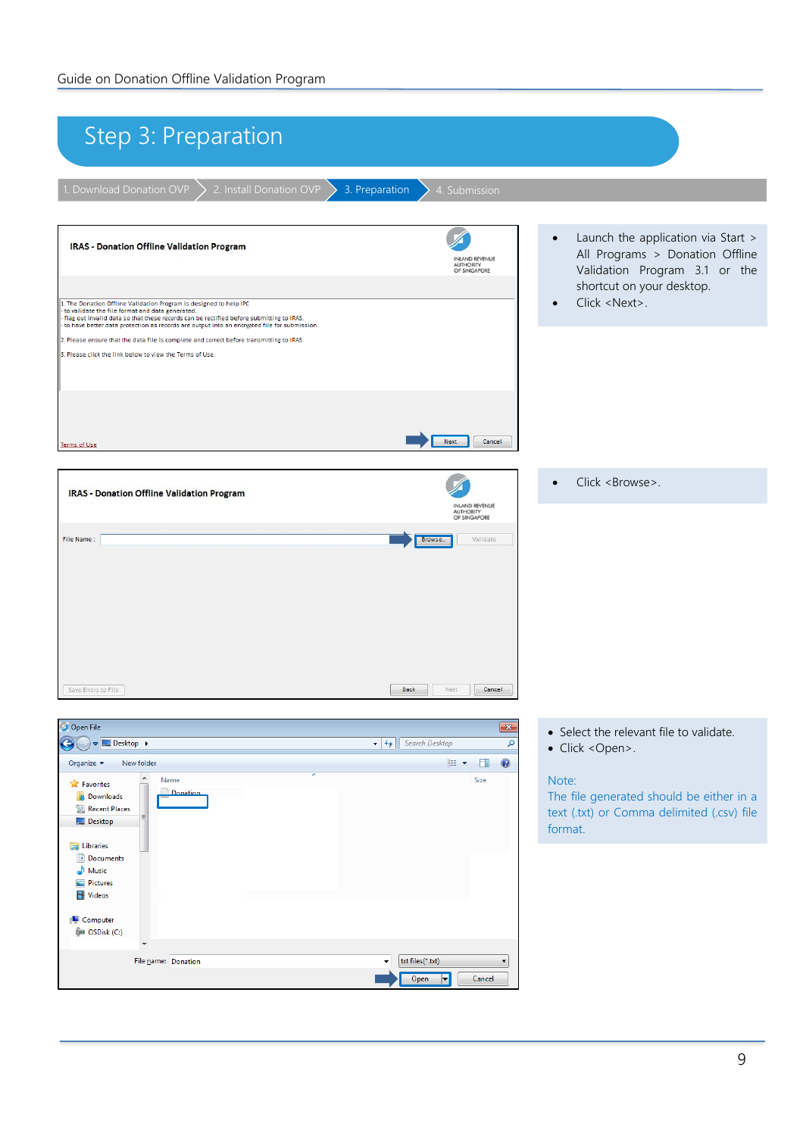<span id="page-8-0"></span>

| Step 3: Preparation                                                                                                                                                                                                                                                                                                                                                                                                                                                                                                                                                                                                              |                                                                                                                                                                                                   |
|----------------------------------------------------------------------------------------------------------------------------------------------------------------------------------------------------------------------------------------------------------------------------------------------------------------------------------------------------------------------------------------------------------------------------------------------------------------------------------------------------------------------------------------------------------------------------------------------------------------------------------|---------------------------------------------------------------------------------------------------------------------------------------------------------------------------------------------------|
| 1. Download Donation OVP<br>2. Install Donation OVP<br>3. Preparation<br>4. Submission                                                                                                                                                                                                                                                                                                                                                                                                                                                                                                                                           |                                                                                                                                                                                                   |
| ╱<br><b>IRAS - Donation Offline Validation Program</b><br><b>INLAND REVENUE</b><br>AUTHORITY<br>OF SINGAPORE<br>1. The Donation Offline Validation Program is designed to help IPC<br>to validate the file format and data generated.<br>flag out invalid data so that these records can be rectified before submitting to IRAS.<br>to have better data protection as records are output into an encrypted file for submission.<br>2. Please ensure that the data file is complete and correct before transmitting to IRAS.<br>3. Please click the link below to view the Terms of Use.<br><b>Next</b><br>Cancel<br>Terms of Use | Launch the application via Start ><br>$\bullet$<br>All Programs > Donation Offline<br>Validation Program 3.1 or the<br>shortcut on your desktop.<br>Click <next>.<br/><math>\bullet</math></next> |
| <b>IRAS - Donation Offline Validation Program</b><br><b>INLAND REVENUE</b><br><b>AUTHORITY</b>                                                                                                                                                                                                                                                                                                                                                                                                                                                                                                                                   | Click <browse>.<br/><math display="inline">\bullet</math></browse>                                                                                                                                |
| OF SINGAPORE<br>File Name:<br>Validate<br>Browse<br>Save Errors to File<br><b>Back</b><br>Next<br>Cancel                                                                                                                                                                                                                                                                                                                                                                                                                                                                                                                         |                                                                                                                                                                                                   |
| Open File<br>$\mathbf{x}$                                                                                                                                                                                                                                                                                                                                                                                                                                                                                                                                                                                                        |                                                                                                                                                                                                   |
| $\blacktriangleright$ $\blacktriangleright$ Search Desktop<br>Desktop ><br>$\leftarrow$<br>م<br>0<br>Organize $\blacktriangledown$<br>New folder<br>$\mathbb{H}$ $\blacktriangleright$ $\Box$<br>$\blacktriangle$<br>Name<br>Size<br><b>X</b> Favorites<br>Donation<br><b>Downloads</b><br>Recent Places<br>Desktop<br><b>Ed Libraries</b><br>Documents<br>Music<br>Pictures<br>Videos<br>Computer<br>OSDisk (C:)                                                                                                                                                                                                                | • Select the relevant file to validate.<br>• Click <open>.<br/>Note:<br/>The file generated should be either in a<br/>text (.txt) or Comma delimited (.csv) file<br/>format.</open>               |
| File name: Donation<br>txt files(*.txt)<br>Open<br>H<br>Cancel                                                                                                                                                                                                                                                                                                                                                                                                                                                                                                                                                                   |                                                                                                                                                                                                   |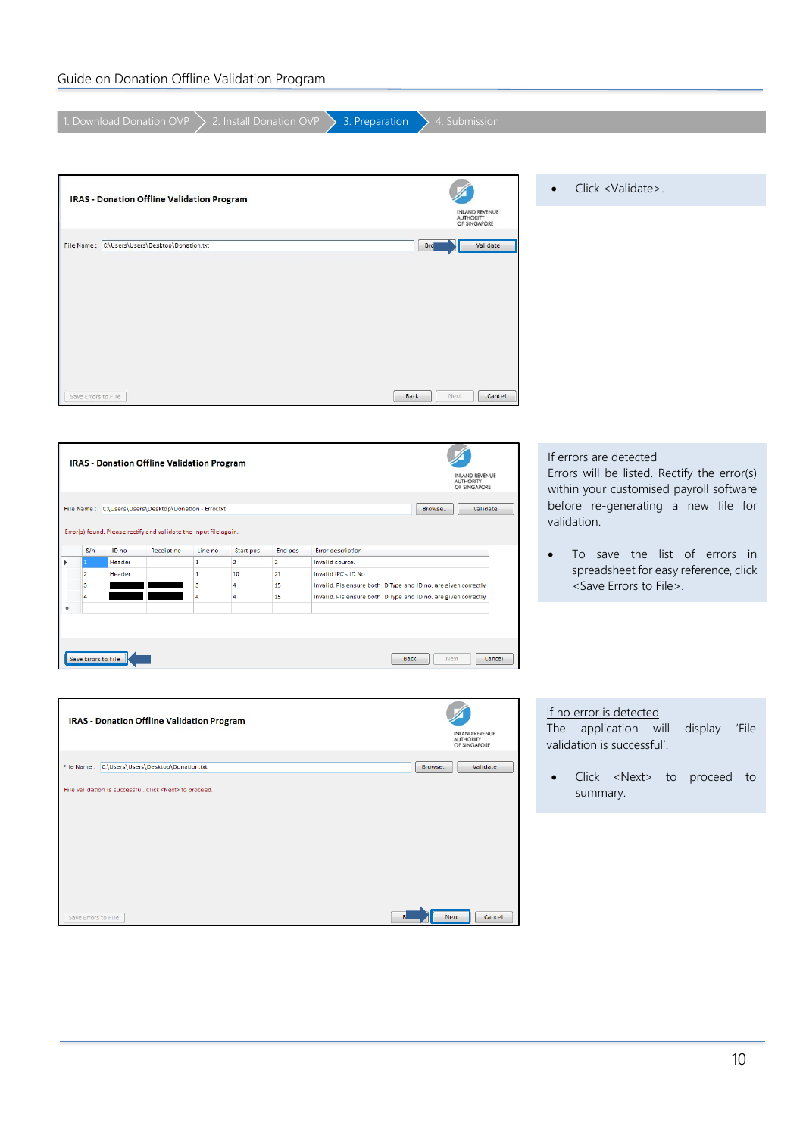### Guide on Donation Offline Validation Program

|                       |                |                     | 1. Download Donation OVP                                          |              | 2. Install Donation OVP |                | 3. Preparation                                                   | 4. Submission                                      |                                                                        |
|-----------------------|----------------|---------------------|-------------------------------------------------------------------|--------------|-------------------------|----------------|------------------------------------------------------------------|----------------------------------------------------|------------------------------------------------------------------------|
|                       |                |                     |                                                                   |              |                         |                |                                                                  |                                                    |                                                                        |
|                       |                |                     | <b>IRAS - Donation Offline Validation Program</b>                 |              |                         |                |                                                                  |                                                    | Click <validate>.<br/><math display="inline">\bullet</math></validate> |
|                       |                |                     |                                                                   |              |                         |                |                                                                  | <b>INLAND REVENUE</b><br>AUTHORITY<br>OF SINGAPORE |                                                                        |
|                       |                |                     | File Name: C:\Users\Users\Desktop\Donation.txt                    |              |                         |                |                                                                  | Validate<br><b>Brd</b>                             |                                                                        |
|                       |                |                     |                                                                   |              |                         |                |                                                                  |                                                    |                                                                        |
|                       |                |                     |                                                                   |              |                         |                |                                                                  |                                                    |                                                                        |
|                       |                |                     |                                                                   |              |                         |                |                                                                  |                                                    |                                                                        |
|                       |                |                     |                                                                   |              |                         |                |                                                                  |                                                    |                                                                        |
|                       |                |                     |                                                                   |              |                         |                |                                                                  |                                                    |                                                                        |
|                       |                |                     |                                                                   |              |                         |                |                                                                  |                                                    |                                                                        |
|                       |                |                     |                                                                   |              |                         |                |                                                                  |                                                    |                                                                        |
|                       |                | Save Errors to File |                                                                   |              |                         |                | <b>Back</b>                                                      | Next<br>Cancel                                     |                                                                        |
|                       |                |                     |                                                                   |              |                         |                |                                                                  |                                                    |                                                                        |
|                       |                |                     |                                                                   |              |                         |                |                                                                  |                                                    |                                                                        |
|                       |                |                     |                                                                   |              |                         |                |                                                                  |                                                    | If errors are detected                                                 |
|                       |                |                     | <b>IRAS - Donation Offline Validation Program</b>                 |              |                         |                |                                                                  | <b>INLAND REVENUE</b>                              | Errors will be listed. Rectify the error(s)                            |
|                       |                |                     |                                                                   |              |                         |                |                                                                  | <b>AUTHORITY</b><br>OF SINGAPORE                   | within your customised payroll software                                |
|                       |                |                     | File Name: C:\Users\Users\Desktop\Donation - Error.txt            |              |                         |                |                                                                  | Validate<br>Browse                                 | before re-generating a new file for                                    |
|                       |                |                     | Error(s) found. Please rectify and validate the input file again. |              |                         |                |                                                                  |                                                    | validation.                                                            |
|                       | S/n            | ID no               | Receipt no                                                        | Line no      | Start pos               | End pos        | <b>Error description</b>                                         |                                                    | To save the list of errors in                                          |
| $\blacktriangleright$ |                | Header              |                                                                   | $\vert$ 1    | $\overline{2}$          | $\overline{2}$ | Invalid source.                                                  |                                                    | $\bullet$                                                              |
|                       | $\overline{2}$ | Header              |                                                                   | $\mathbf{1}$ | 10                      | 21             | Invalid IPC's ID No.                                             |                                                    | spreadsheet for easy reference, click                                  |
|                       | 3              |                     |                                                                   | 3            | 4                       | 15             | Invalid. Pls ensure both ID Type and ID no. are given correctly. |                                                    | <save errors="" file="" to="">.</save>                                 |

Invalid. Pls ensure both ID Type and ID no. are given correctly.

Back Next Cancel

| <b>IRAS - Donation Offline Validation Program</b>              | <b>INLAND REVENUE</b><br><b>AUTHORITY</b><br>OF SINGAPORE |
|----------------------------------------------------------------|-----------------------------------------------------------|
| File Name: C:\Users\Users\Desktop\Donation.txt                 | Validate<br>Browse                                        |
| File validation is successful. Click <next> to proceed.</next> |                                                           |
|                                                                |                                                           |
|                                                                |                                                           |
|                                                                |                                                           |
|                                                                |                                                           |
| B<br>Save Errors to File                                       | Cancel<br><b>Next</b>                                     |

 $\overline{\mathbf{15}}$ 

4

Save Errors to File

4

If no error is detected

The application will display 'File validation is successful'.

• Click <Next> to proceed to summary.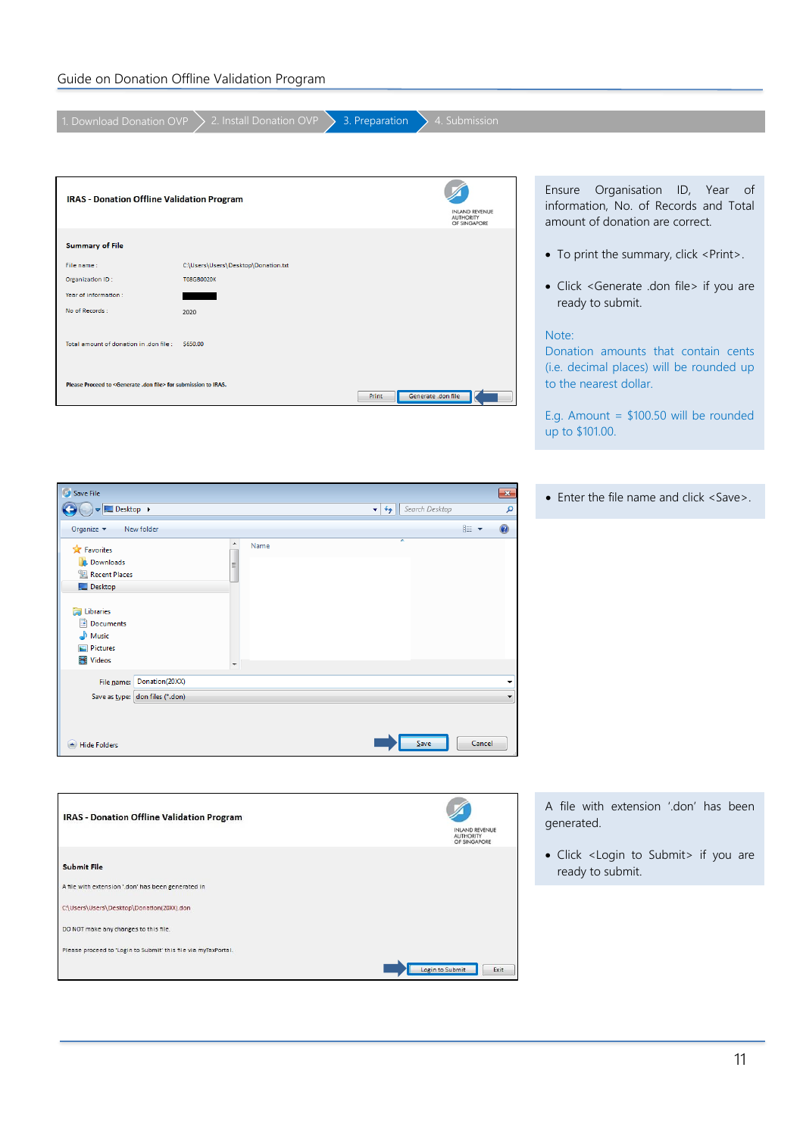| I. Download Donation OVP                                                                                                                                                                                                         | 2. Install Donation OVP             | 4. Submission<br>3. Preparation                          |                                                                                                                |
|----------------------------------------------------------------------------------------------------------------------------------------------------------------------------------------------------------------------------------|-------------------------------------|----------------------------------------------------------|----------------------------------------------------------------------------------------------------------------|
|                                                                                                                                                                                                                                  |                                     |                                                          |                                                                                                                |
| <b>IRAS - Donation Offline Validation Program</b>                                                                                                                                                                                |                                     | <b>NLAND REVENUE</b><br><b>AUTHORITY</b><br>OF SINGAPORE | Organisation ID, Year of<br>Ensure<br>information, No. of Records and Total<br>amount of donation are correct. |
| <b>Summary of File</b>                                                                                                                                                                                                           |                                     |                                                          |                                                                                                                |
| File name:                                                                                                                                                                                                                       | C:\Users\Users\Desktop\Donation.txt |                                                          | • To print the summary, click <print>.</print>                                                                 |
| Organization ID:                                                                                                                                                                                                                 | <b>T08GB0020K</b>                   |                                                          | • Click <generate .don="" file=""> if you are</generate>                                                       |
| Year of information:                                                                                                                                                                                                             |                                     |                                                          | ready to submit.                                                                                               |
| No of Records :                                                                                                                                                                                                                  | 2020                                |                                                          |                                                                                                                |
| Total amount of donation in .don file : \$650.00                                                                                                                                                                                 |                                     |                                                          | Note:<br>Donation amounts that contain cents<br>(i.e. decimal places) will be rounded up                       |
| Please Proceed to <generate .don="" file=""> for submission to IRAS.</generate>                                                                                                                                                  |                                     | Print<br>Generate .don file                              | to the nearest dollar.                                                                                         |
|                                                                                                                                                                                                                                  |                                     |                                                          | E.g. Amount = $$100.50$ will be rounded<br>up to \$101.00.                                                     |
|                                                                                                                                                                                                                                  |                                     |                                                          |                                                                                                                |
| Save File                                                                                                                                                                                                                        |                                     | $\mathbf{x}$                                             | • Enter the file name and click <save>.</save>                                                                 |
| Desktop ><br>Organize $\blacktriangledown$<br>New folder                                                                                                                                                                         |                                     | $\bullet$ $\bullet$ Search Desktop<br>م<br>0<br>888 ▼    |                                                                                                                |
| <b>X</b> Favorites<br><b>Downloads</b><br><b>Recent Places</b><br>Desktop<br><b>Libraries</b><br>Documents<br>Music<br>Pictures<br><b>Wideos</b><br>File name: Donation(20XX)<br>Save as type: don files (*.don)<br>Hide Folders | $\blacktriangle$<br>Name<br>Ξ       | ٠<br>Save<br>Cancel                                      |                                                                                                                |
|                                                                                                                                                                                                                                  |                                     |                                                          |                                                                                                                |
| <b>IRAS - Donation Offline Validation Program</b>                                                                                                                                                                                |                                     | INLAND REVENUE<br>AUTHORITY<br>OF SINGAPORE              | A file with extension '.don' has been<br>generated.                                                            |
| <b>Submit File</b>                                                                                                                                                                                                               |                                     |                                                          | · Click <login submit="" to=""> if you are<br/>ready to submit.</login>                                        |
| A file with extension '.don' has been generated in                                                                                                                                                                               |                                     |                                                          |                                                                                                                |
| C:\Users\Users\Desktop\Donation(20XX).don                                                                                                                                                                                        |                                     |                                                          |                                                                                                                |
| DO NOT make any changes to this file.                                                                                                                                                                                            |                                     |                                                          |                                                                                                                |
| Please proceed to 'Login to Submit' this file via myTaxPortal.                                                                                                                                                                   |                                     | Login to Submit<br>Exit                                  |                                                                                                                |
|                                                                                                                                                                                                                                  |                                     |                                                          |                                                                                                                |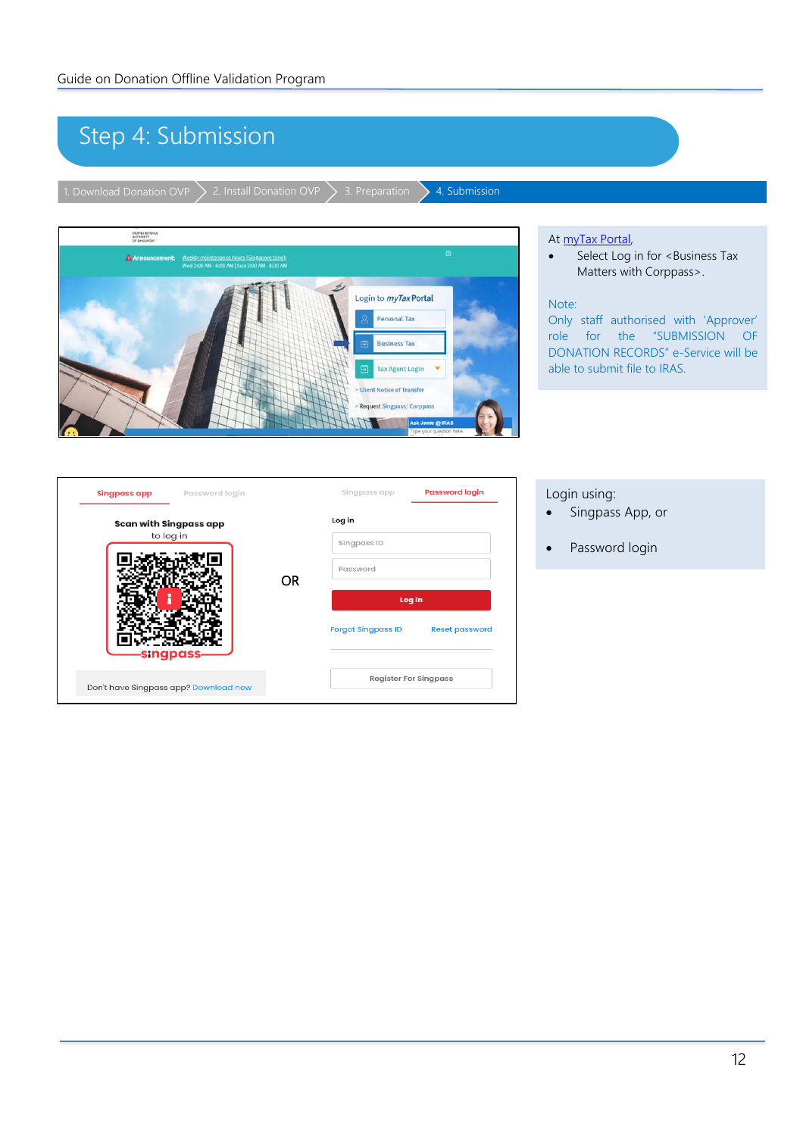# <span id="page-11-0"></span>Step 4: Submission

1. Download Donation OVP  $\searrow$  2. Install Donation OVP  $\searrow$  3. Preparation  $\searrow$  4. Submission



#### At [myTax Portal,](https://mytax.iras.gov.sg/ESVWeb/default.aspx)

• Select Log in for <Business Tax Matters with Corppass>.

#### Note:

Only staff authorised with 'Approver' role for the "SUBMISSION OF DONATION RECORDS" e-Service will be able to submit file to IRAS.

| Singpass app                          | Password login |           | Singpass app              | <b>Password login</b>        |
|---------------------------------------|----------------|-----------|---------------------------|------------------------------|
| Scan with Singpass app                |                | Log in    |                           |                              |
| to log in                             |                |           | Singpass ID               |                              |
|                                       |                | <b>OR</b> | Password                  |                              |
|                                       |                |           |                           | Log in                       |
| -singpass                             |                |           | <b>Forgot Singpass ID</b> | <b>Reset password</b>        |
| Don't have Singpass app? Download now |                |           |                           | <b>Register For Singpass</b> |

#### Login using:

- Singpass App, or
- Password login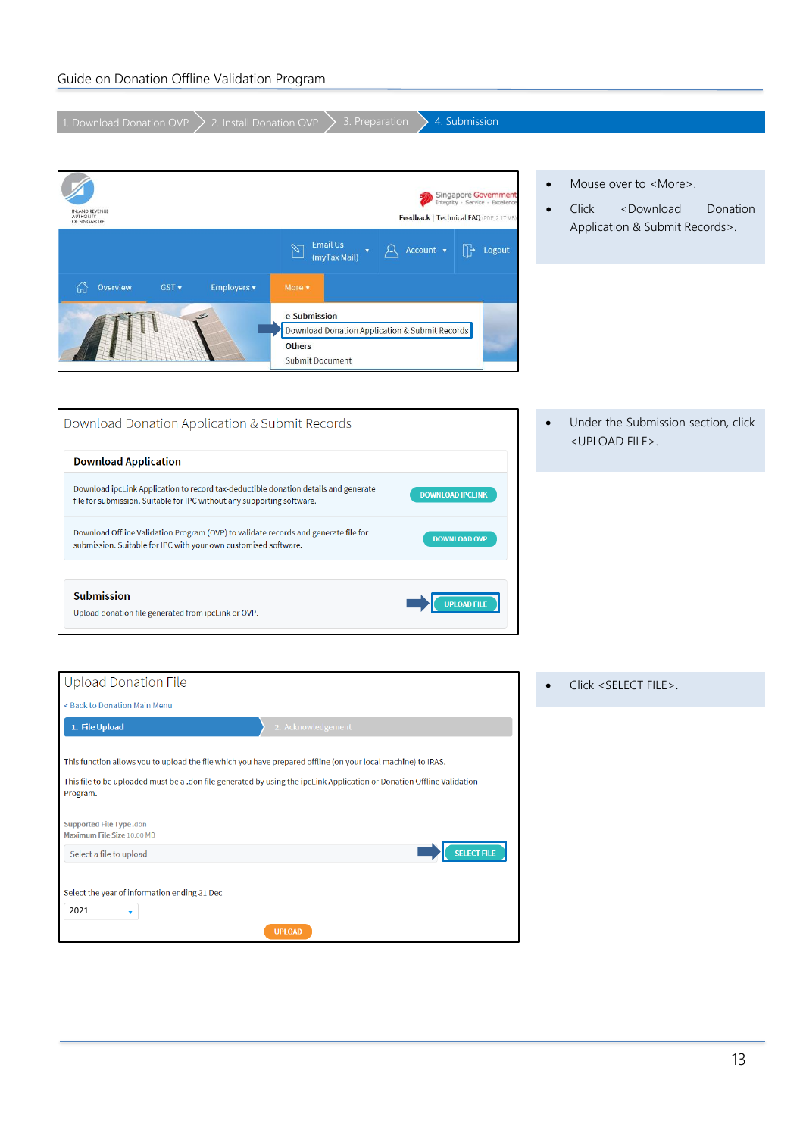| 4. Submission                                                                                                                                                                                                                                                                                                                                                             |                                                                                                                                                                                                              |
|---------------------------------------------------------------------------------------------------------------------------------------------------------------------------------------------------------------------------------------------------------------------------------------------------------------------------------------------------------------------------|--------------------------------------------------------------------------------------------------------------------------------------------------------------------------------------------------------------|
| 3. Preparation<br>2. Install Donation OVP<br>1. Download Donation OVP                                                                                                                                                                                                                                                                                                     |                                                                                                                                                                                                              |
| Singapore Government<br>Integrity · Service · Excellence<br>(LAND REVENUE<br>AUTHORITY<br>OF SINGAPORE<br>Feedback   Technical FAQ (PDF, 2.17 MB)                                                                                                                                                                                                                         | Mouse over to <more>.<br/><math display="inline">\bullet</math><br/>Click<br/><download<br>Donation<br/><math display="inline">\bullet</math><br/>Application &amp; Submit Records&gt;.</download<br></more> |
| <b>Email Us</b><br>$\mathbb{Z}$<br>$\mathbb{R}$<br>Account v<br>Logout<br>(myTax Mail)                                                                                                                                                                                                                                                                                    |                                                                                                                                                                                                              |
| Overview<br>GST v<br>Employers v<br>More <b>v</b><br>ίn<br>e-Submission<br>Download Donation Application & Submit Records<br><b>Others</b><br>Submit Document                                                                                                                                                                                                             |                                                                                                                                                                                                              |
| Download Donation Application & Submit Records<br><b>Download Application</b>                                                                                                                                                                                                                                                                                             | Under the Submission section, click<br>$\bullet$<br><upload file="">.</upload>                                                                                                                               |
| Download ipcLink Application to record tax-deductible donation details and generate<br><b>DOWNLOAD IPCLINK</b><br>file for submission. Suitable for IPC without any supporting software.<br>Download Offline Validation Program (OVP) to validate records and generate file for<br><b>DOWNLOAD OVP</b><br>submission. Suitable for IPC with your own customised software. |                                                                                                                                                                                                              |
| <b>Submission</b><br><b>UPLOAD FILE</b><br>Upload donation file generated from ipcLink or OVP.                                                                                                                                                                                                                                                                            |                                                                                                                                                                                                              |
| <b>Upload Donation File</b><br>< Back to Donation Main Menu                                                                                                                                                                                                                                                                                                               | Click <select file="">.<br/><math display="inline">\bullet</math></select>                                                                                                                                   |
| 2. Acknowledgement<br>1. File Upload                                                                                                                                                                                                                                                                                                                                      |                                                                                                                                                                                                              |
| This function allows you to upload the file which you have prepared offline (on your local machine) to IRAS.                                                                                                                                                                                                                                                              |                                                                                                                                                                                                              |
| This file to be uploaded must be a .don file generated by using the ipcLink Application or Donation Offline Validation<br>Program.                                                                                                                                                                                                                                        |                                                                                                                                                                                                              |
| Supported File Type.don<br>Maximum File Size 10.00 MB                                                                                                                                                                                                                                                                                                                     |                                                                                                                                                                                                              |
| <b>SELECT FILE</b><br>Select a file to upload                                                                                                                                                                                                                                                                                                                             |                                                                                                                                                                                                              |
| Select the year of information ending 31 Dec<br>2021<br>۷.<br><b>UPLOAD</b>                                                                                                                                                                                                                                                                                               |                                                                                                                                                                                                              |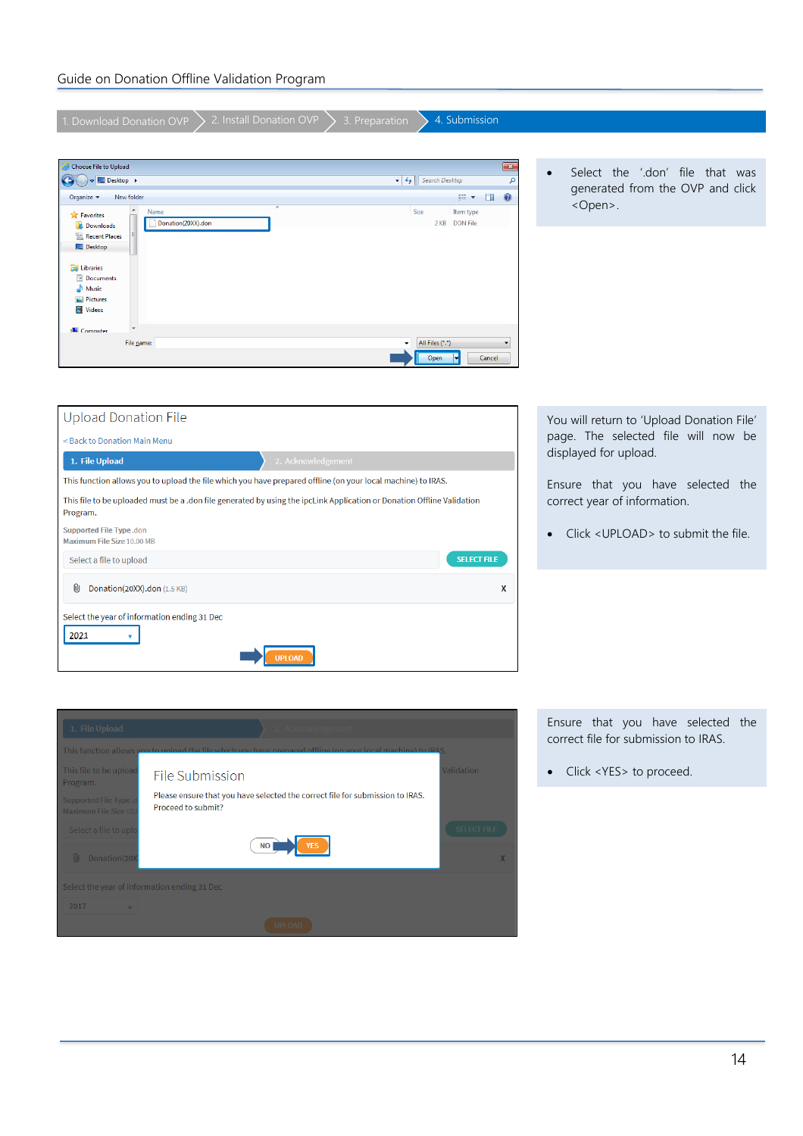| 2. Install Donation OVP<br>4. Submission<br>1. Download Donation OVP<br>3. Preparation                                             |                                                                                       |  |  |  |  |
|------------------------------------------------------------------------------------------------------------------------------------|---------------------------------------------------------------------------------------|--|--|--|--|
|                                                                                                                                    |                                                                                       |  |  |  |  |
| Choose File to Upload<br>$\mathbf{x}$                                                                                              |                                                                                       |  |  |  |  |
| $\bigodot$ $\bigodot$ $\bigodot$ E Desktop<br>$\bullet$ $\bullet$ Search Desktop<br>$\mathbf{Q}$                                   | Select the '.don' file that was<br>$\bullet$<br>generated from the OVP and click      |  |  |  |  |
| 0<br>988 -<br>$\Box$<br>New folder<br>Organize v                                                                                   | <open>.</open>                                                                        |  |  |  |  |
| $\overline{a}$<br>Name<br>Size<br>Item type<br><b>X</b> Favorites<br>Donation(20XX).don<br>2 KB DON File<br><b>Downloads</b>       |                                                                                       |  |  |  |  |
| Recent Places                                                                                                                      |                                                                                       |  |  |  |  |
| Desktop                                                                                                                            |                                                                                       |  |  |  |  |
| Libraries<br>Documents                                                                                                             |                                                                                       |  |  |  |  |
| Music<br>Pictures                                                                                                                  |                                                                                       |  |  |  |  |
| Videos                                                                                                                             |                                                                                       |  |  |  |  |
| Computer                                                                                                                           |                                                                                       |  |  |  |  |
| All Files (*.*)<br>File name:<br>۰                                                                                                 |                                                                                       |  |  |  |  |
| Open<br>Cancel                                                                                                                     |                                                                                       |  |  |  |  |
|                                                                                                                                    |                                                                                       |  |  |  |  |
|                                                                                                                                    |                                                                                       |  |  |  |  |
| <b>Upload Donation File</b>                                                                                                        | You will return to 'Upload Donation File'                                             |  |  |  |  |
| page. The selected file will now be<br>< Back to Donation Main Menu                                                                |                                                                                       |  |  |  |  |
| displayed for upload.<br>2. Acknowledgement<br>1. File Upload                                                                      |                                                                                       |  |  |  |  |
| This function allows you to upload the file which you have prepared offline (on your local machine) to IRAS.                       | Ensure that you have selected the                                                     |  |  |  |  |
| This file to be uploaded must be a .don file generated by using the ipcLink Application or Donation Offline Validation<br>Program. | correct year of information.                                                          |  |  |  |  |
| Supported File Type.don<br>Maximum File Size 10.00 MB                                                                              | Click <upload> to submit the file.<br/><math display="inline">\bullet</math></upload> |  |  |  |  |
| <b>SELECT FILE</b><br>Select a file to upload                                                                                      |                                                                                       |  |  |  |  |
| O<br>Donation(20XX).don (1.5 KB)<br>X                                                                                              |                                                                                       |  |  |  |  |
| Select the year of information ending 31 Dec                                                                                       |                                                                                       |  |  |  |  |
| 2021                                                                                                                               |                                                                                       |  |  |  |  |
| <b>JPLOAD</b>                                                                                                                      |                                                                                       |  |  |  |  |



Ensure that you have selected the correct file for submission to IRAS.

• Click <YES> to proceed.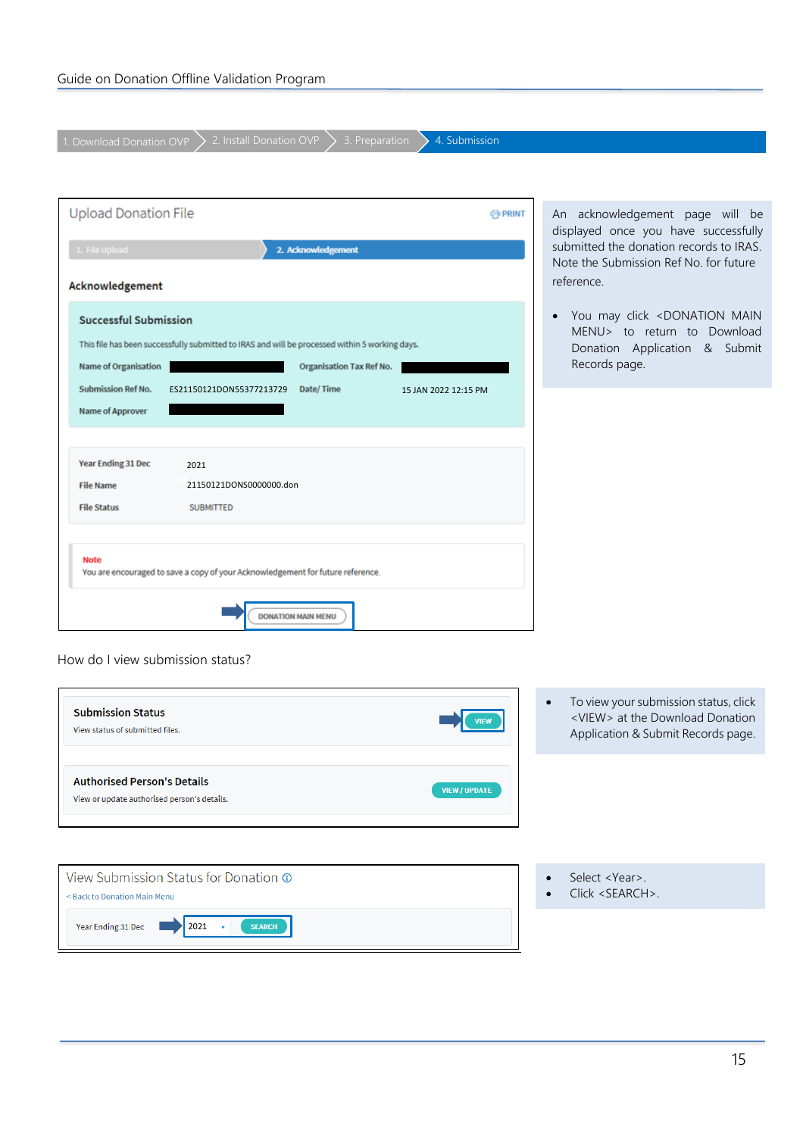1. Download Donation OVP  $\bigg\}$  2. Install Donation OVP  $\bigg\}$  3. Preparation  $\bigg\}$  4. Submission

| <b>Upload Donation File</b>                                                                    |                                                                                                |                                 | <b>C</b> PRINT       |  |
|------------------------------------------------------------------------------------------------|------------------------------------------------------------------------------------------------|---------------------------------|----------------------|--|
| 1. File Upload                                                                                 |                                                                                                | 2. Acknowledgement              |                      |  |
| Acknowledgement                                                                                |                                                                                                |                                 |                      |  |
| <b>Successful Submission</b>                                                                   |                                                                                                |                                 |                      |  |
|                                                                                                | This file has been successfully submitted to IRAS and will be processed within 5 working days. |                                 |                      |  |
| <b>Name of Organisation</b>                                                                    |                                                                                                | <b>Organisation Tax Ref No.</b> |                      |  |
| <b>Submission Ref No.</b>                                                                      | ES21150121DON55377213729                                                                       | Date/Time                       | 15 JAN 2022 12:15 PM |  |
| <b>Name of Approver</b>                                                                        |                                                                                                |                                 |                      |  |
|                                                                                                |                                                                                                |                                 |                      |  |
| Year Ending 31 Dec                                                                             | 2021                                                                                           |                                 |                      |  |
| <b>File Name</b>                                                                               | 21150121DONS0000000.don                                                                        |                                 |                      |  |
| <b>File Status</b>                                                                             | <b>SUBMITTED</b>                                                                               |                                 |                      |  |
| <b>Note</b><br>You are encouraged to save a copy of your Acknowledgement for future reference. |                                                                                                |                                 |                      |  |
| <b>DONATION MAIN MENU</b>                                                                      |                                                                                                |                                 |                      |  |

An acknowledgement page will be displayed once you have successfully submitted the donation records to IRAS. Note the Submission Ref No. for future reference.

• You may click <DONATION MAIN MENU> to return to Download Donation Application & Submit Records page.

How do I view submission status?

| <b>Submission Status</b><br>View status of submitted files.                       | To view your submission status, click<br>$\bullet$<br><view> at the Download Donation<br/><b>VIFW</b><br/>Application &amp; Submit Records page.</view> |
|-----------------------------------------------------------------------------------|---------------------------------------------------------------------------------------------------------------------------------------------------------|
| <b>Authorised Person's Details</b><br>View or update authorised person's details. | <b>VIEW / UPDATE</b>                                                                                                                                    |
| View Submission Status for Donation $\odot$<br>< Back to Donation Main Menu       | Select <year>.<br/><math>Click <searc< math="">H <math>&gt;</math>.</searc<></math></year>                                                              |
| Year Ending 31 Dec<br><b>SEARCH</b><br>2021                                       |                                                                                                                                                         |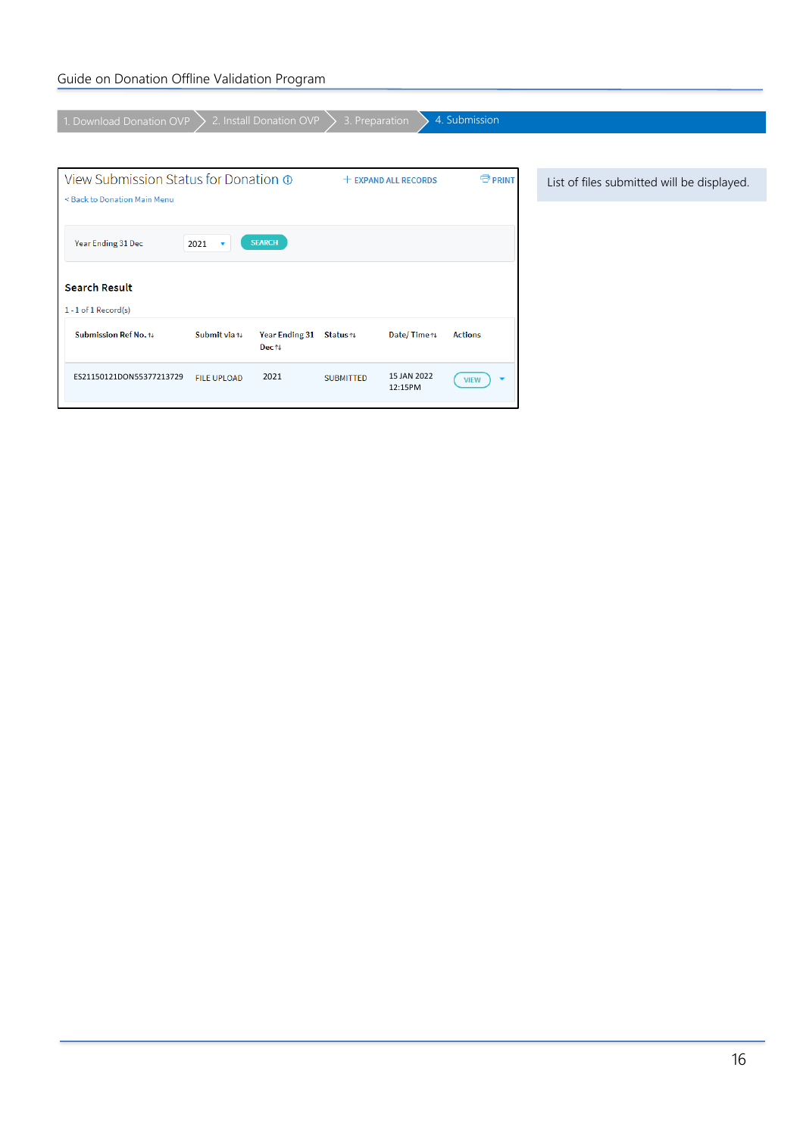### Guide on Donation Offline Validation Program

| 1. Download Donation OVP                              | 2. Install Donation OVP           | 3. Preparation   |                        | 4. Submission                           |                                            |
|-------------------------------------------------------|-----------------------------------|------------------|------------------------|-----------------------------------------|--------------------------------------------|
|                                                       |                                   |                  |                        |                                         |                                            |
|                                                       |                                   |                  |                        |                                         |                                            |
| View Submission Status for Donation ®                 |                                   |                  | $+$ EXPAND ALL RECORDS | <b>中 PRINT</b>                          | List of files submitted will be displayed. |
| < Back to Donation Main Menu                          |                                   |                  |                        |                                         |                                            |
|                                                       |                                   |                  |                        |                                         |                                            |
| Year Ending 31 Dec<br>2021<br>$\overline{\mathbf{v}}$ | <b>SEARCH</b>                     |                  |                        |                                         |                                            |
|                                                       |                                   |                  |                        |                                         |                                            |
| <b>Search Result</b>                                  |                                   |                  |                        |                                         |                                            |
| $1 - 1$ of $1$ Record(s)                              |                                   |                  |                        |                                         |                                            |
| Submit via tu                                         |                                   |                  |                        |                                         |                                            |
| Submission Ref No. 14                                 | Year Ending 31 Status 1<br>Dec ↑↓ |                  | Date/Time 1            | <b>Actions</b>                          |                                            |
|                                                       |                                   |                  |                        |                                         |                                            |
| ES21150121DON55377213729<br><b>FILE UPLOAD</b>        | 2021                              | <b>SUBMITTED</b> | 15 JAN 2022<br>12:15PM | $\overline{\phantom{a}}$<br><b>VIEW</b> |                                            |
|                                                       |                                   |                  |                        |                                         |                                            |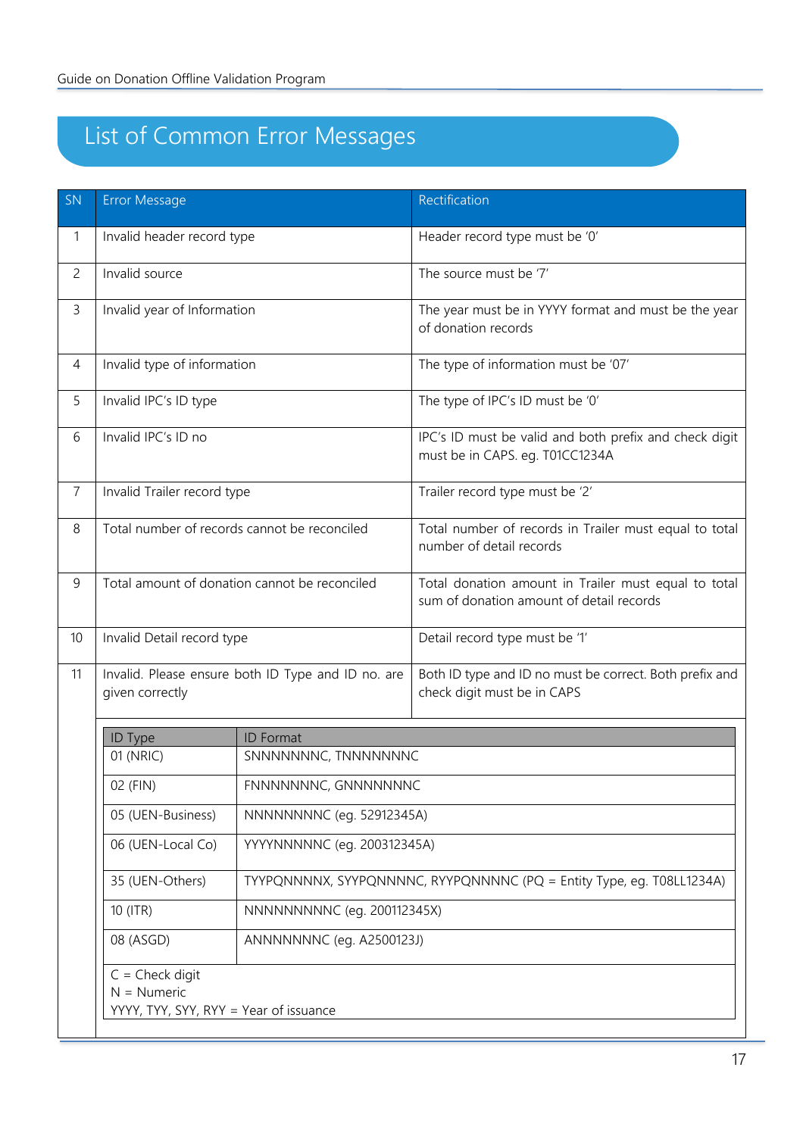# <span id="page-16-0"></span>List of Common Error Messages

| SN | Error Message                                                                |                                                                                                                                                                                                                       | Rectification                                                                                    |  |
|----|------------------------------------------------------------------------------|-----------------------------------------------------------------------------------------------------------------------------------------------------------------------------------------------------------------------|--------------------------------------------------------------------------------------------------|--|
| 1  | Invalid header record type                                                   |                                                                                                                                                                                                                       | Header record type must be '0'                                                                   |  |
| 2  | Invalid source                                                               |                                                                                                                                                                                                                       | The source must be '7'                                                                           |  |
| 3  | Invalid year of Information                                                  |                                                                                                                                                                                                                       | The year must be in YYYY format and must be the year<br>of donation records                      |  |
| 4  | Invalid type of information                                                  |                                                                                                                                                                                                                       | The type of information must be '07'                                                             |  |
| 5  | Invalid IPC's ID type                                                        |                                                                                                                                                                                                                       | The type of IPC's ID must be '0'                                                                 |  |
| 6  | Invalid IPC's ID no                                                          |                                                                                                                                                                                                                       | IPC's ID must be valid and both prefix and check digit<br>must be in CAPS. eg. T01CC1234A        |  |
| 7  | Invalid Trailer record type                                                  |                                                                                                                                                                                                                       | Trailer record type must be '2'                                                                  |  |
| 8  | Total number of records cannot be reconciled                                 |                                                                                                                                                                                                                       | Total number of records in Trailer must equal to total<br>number of detail records               |  |
| 9  | Total amount of donation cannot be reconciled                                |                                                                                                                                                                                                                       | Total donation amount in Trailer must equal to total<br>sum of donation amount of detail records |  |
| 10 | Invalid Detail record type                                                   |                                                                                                                                                                                                                       | Detail record type must be '1'                                                                   |  |
| 11 | Invalid. Please ensure both ID Type and ID no. are<br>given correctly        |                                                                                                                                                                                                                       | Both ID type and ID no must be correct. Both prefix and<br>check digit must be in CAPS           |  |
|    | ID Type                                                                      | <b>ID</b> Format                                                                                                                                                                                                      |                                                                                                  |  |
|    | 01 (NRIC)                                                                    | SNNNNNNNC, TNNNNNNNC                                                                                                                                                                                                  |                                                                                                  |  |
|    | 02 (FIN)                                                                     | FNNNNNNNC, GNNNNNNNC<br>NNNNNNNNC (eq. 52912345A)<br>YYYYNNNNNC (eg. 200312345A)<br>TYYPQNNNNX, SYYPQNNNNC, RYYPQNNNNC (PQ = Entity Type, eg. T08LL1234A)<br>NNNNNNNNNC (eg. 200112345X)<br>ANNNNNNNC (eq. A2500123J) |                                                                                                  |  |
|    | 05 (UEN-Business)                                                            |                                                                                                                                                                                                                       |                                                                                                  |  |
|    | 06 (UEN-Local Co)                                                            |                                                                                                                                                                                                                       |                                                                                                  |  |
|    | 35 (UEN-Others)                                                              |                                                                                                                                                                                                                       |                                                                                                  |  |
|    | 10 (ITR)                                                                     |                                                                                                                                                                                                                       |                                                                                                  |  |
|    | 08 (ASGD)                                                                    |                                                                                                                                                                                                                       |                                                                                                  |  |
|    | $C =$ Check digit<br>$N =$ Numeric<br>YYYY, TYY, SYY, RYY = Year of issuance |                                                                                                                                                                                                                       |                                                                                                  |  |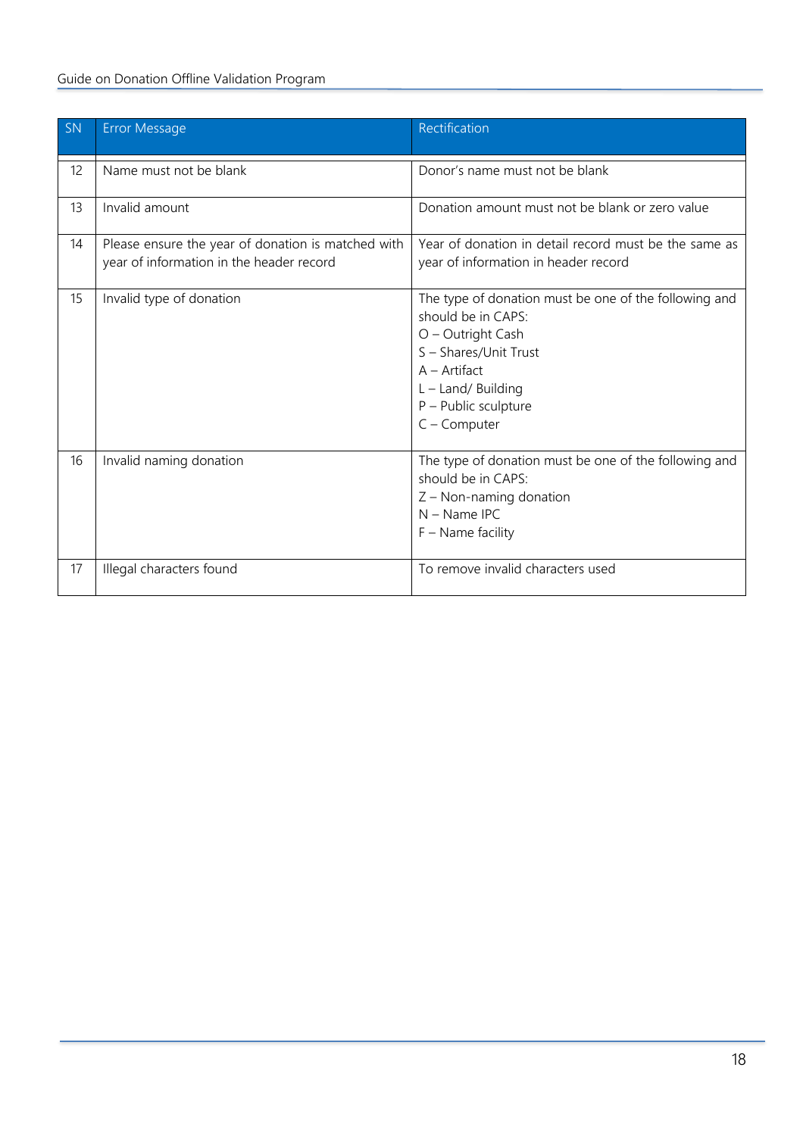### Guide on Donation Offline Validation Program

| SN | <b>Error Message</b>                                                                           | Rectification                                                                                                                                                                                               |
|----|------------------------------------------------------------------------------------------------|-------------------------------------------------------------------------------------------------------------------------------------------------------------------------------------------------------------|
| 12 | Name must not be blank                                                                         | Donor's name must not be blank                                                                                                                                                                              |
| 13 | Invalid amount                                                                                 | Donation amount must not be blank or zero value                                                                                                                                                             |
| 14 | Please ensure the year of donation is matched with<br>year of information in the header record | Year of donation in detail record must be the same as<br>year of information in header record                                                                                                               |
| 15 | Invalid type of donation                                                                       | The type of donation must be one of the following and<br>should be in CAPS:<br>O - Outright Cash<br>S - Shares/Unit Trust<br>$A -$ Artifact<br>L - Land/ Building<br>P - Public sculpture<br>$C$ – Computer |
| 16 | Invalid naming donation                                                                        | The type of donation must be one of the following and<br>should be in CAPS:<br>Z - Non-naming donation<br>$N - Name IPC$<br>$F - Name$ facility                                                             |
| 17 | Illegal characters found                                                                       | To remove invalid characters used                                                                                                                                                                           |